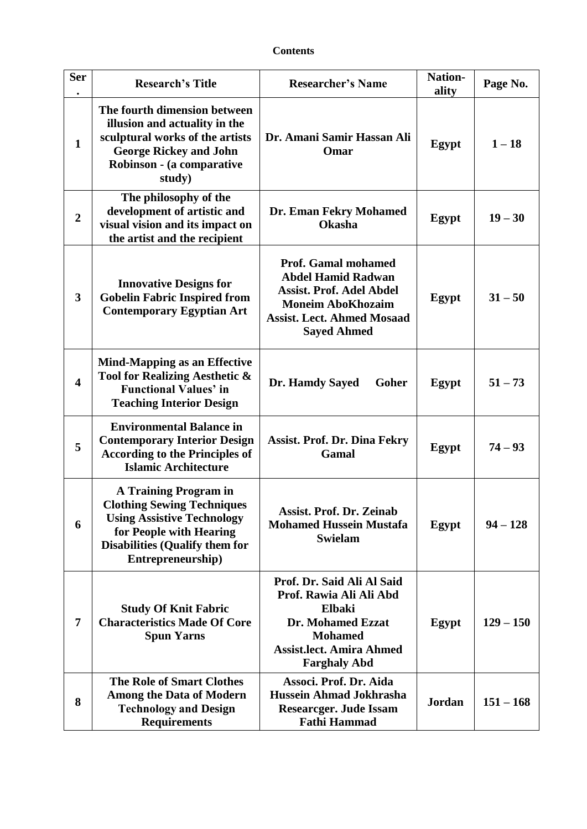## **Contents**

| <b>Ser</b>              | <b>Research's Title</b>                                                                                                                                                                         | <b>Researcher's Name</b>                                                                                                                                                          | Nation-<br>ality | Page No.    |
|-------------------------|-------------------------------------------------------------------------------------------------------------------------------------------------------------------------------------------------|-----------------------------------------------------------------------------------------------------------------------------------------------------------------------------------|------------------|-------------|
| $\mathbf{1}$            | The fourth dimension between<br>illusion and actuality in the<br>sculptural works of the artists<br><b>George Rickey and John</b><br>Robinson - (a comparative<br>study)                        | Dr. Amani Samir Hassan Ali<br>Omar                                                                                                                                                | Egypt            | $1 - 18$    |
| $\overline{2}$          | The philosophy of the<br>development of artistic and<br>visual vision and its impact on<br>the artist and the recipient                                                                         | Dr. Eman Fekry Mohamed<br><b>Okasha</b>                                                                                                                                           | Egypt            | $19 - 30$   |
| 3                       | <b>Innovative Designs for</b><br><b>Gobelin Fabric Inspired from</b><br><b>Contemporary Egyptian Art</b>                                                                                        | <b>Prof. Gamal mohamed</b><br><b>Abdel Hamid Radwan</b><br><b>Assist. Prof. Adel Abdel</b><br><b>Moneim AboKhozaim</b><br><b>Assist. Lect. Ahmed Mosaad</b><br><b>Sayed Ahmed</b> | Egypt            | $31 - 50$   |
| $\overline{\mathbf{4}}$ | <b>Mind-Mapping as an Effective</b><br>Tool for Realizing Aesthetic &<br><b>Functional Values' in</b><br><b>Teaching Interior Design</b>                                                        | Dr. Hamdy Sayed<br>Goher                                                                                                                                                          | Egypt            | $51 - 73$   |
| 5                       | <b>Environmental Balance in</b><br><b>Contemporary Interior Design</b><br><b>According to the Principles of</b><br><b>Islamic Architecture</b>                                                  | <b>Assist. Prof. Dr. Dina Fekry</b><br>Gamal                                                                                                                                      | Egypt            | $74 - 93$   |
| 6                       | <b>A Training Program in</b><br><b>Clothing Sewing Techniques</b><br><b>Using Assistive Technology</b><br>for People with Hearing<br><b>Disabilities (Qualify them for</b><br>Entrepreneurship) | <b>Assist. Prof. Dr. Zeinab</b><br><b>Mohamed Hussein Mustafa</b><br><b>Swielam</b>                                                                                               | Egypt            | $94 - 128$  |
| $\overline{7}$          | <b>Study Of Knit Fabric</b><br><b>Characteristics Made Of Core</b><br><b>Spun Yarns</b>                                                                                                         | Prof. Dr. Said Ali Al Said<br>Prof. Rawia Ali Ali Abd<br>Elbaki<br>Dr. Mohamed Ezzat<br><b>Mohamed</b><br><b>Assist.lect. Amira Ahmed</b><br><b>Farghaly Abd</b>                  | Egypt            | $129 - 150$ |
| 8                       | <b>The Role of Smart Clothes</b><br><b>Among the Data of Modern</b><br><b>Technology and Design</b><br><b>Requirements</b>                                                                      | Associ. Prof. Dr. Aida<br><b>Hussein Ahmad Jokhrasha</b><br><b>Researcger. Jude Issam</b><br><b>Fathi Hammad</b>                                                                  | <b>Jordan</b>    | $151 - 168$ |